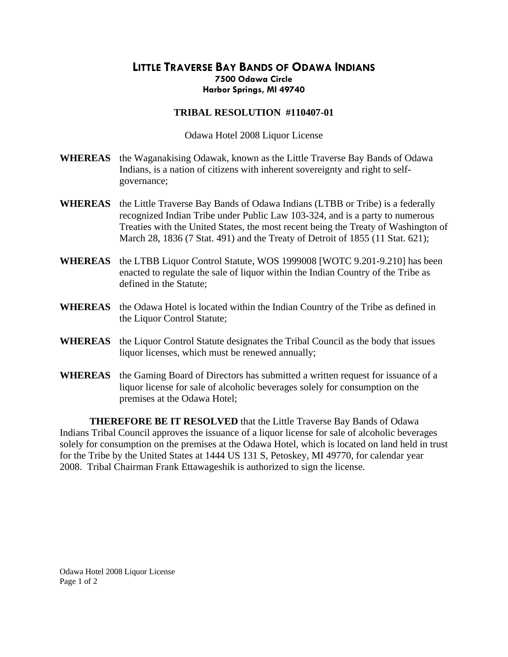## **LITTLE TRAVERSE BAY BANDS OF ODAWA INDIANS 7500 Odawa Circle Harbor Springs, MI 49740**

## **TRIBAL RESOLUTION #110407-01**

Odawa Hotel 2008 Liquor License

- **WHEREAS** the Waganakising Odawak, known as the Little Traverse Bay Bands of Odawa Indians, is a nation of citizens with inherent sovereignty and right to selfgovernance;
- **WHEREAS** the Little Traverse Bay Bands of Odawa Indians (LTBB or Tribe) is a federally recognized Indian Tribe under Public Law 103-324, and is a party to numerous Treaties with the United States, the most recent being the Treaty of Washington of March 28, 1836 (7 Stat. 491) and the Treaty of Detroit of 1855 (11 Stat. 621);
- **WHEREAS** the LTBB Liquor Control Statute, WOS 1999008 [WOTC 9.201-9.210] has been enacted to regulate the sale of liquor within the Indian Country of the Tribe as defined in the Statute;
- **WHEREAS** the Odawa Hotel is located within the Indian Country of the Tribe as defined in the Liquor Control Statute;
- **WHEREAS** the Liquor Control Statute designates the Tribal Council as the body that issues liquor licenses, which must be renewed annually;
- **WHEREAS** the Gaming Board of Directors has submitted a written request for issuance of a liquor license for sale of alcoholic beverages solely for consumption on the premises at the Odawa Hotel;

**THEREFORE BE IT RESOLVED** that the Little Traverse Bay Bands of Odawa Indians Tribal Council approves the issuance of a liquor license for sale of alcoholic beverages solely for consumption on the premises at the Odawa Hotel, which is located on land held in trust for the Tribe by the United States at 1444 US 131 S, Petoskey, MI 49770, for calendar year 2008. Tribal Chairman Frank Ettawageshik is authorized to sign the license.